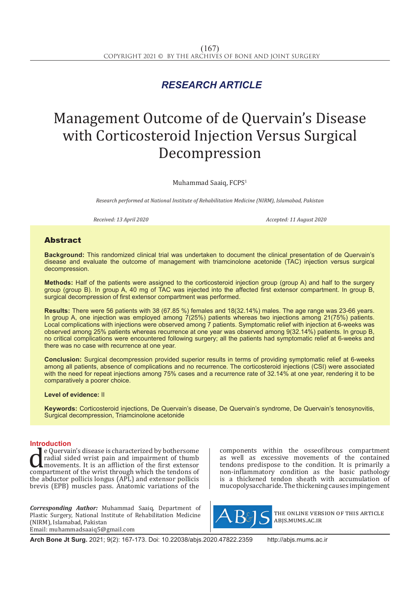## *RESEARCH ARTICLE*

# Management Outcome of de Quervain's Disease with Corticosteroid Injection Versus Surgical Decompression

Muhammad Saaiq, FCPS1

*Research performed at National Institute of Rehabilitation Medicine (NIRM), Islamabad, Pakistan*

*Received: 13 April 2020 Accepted: 11 August 2020*

### Abstract

**Background:** This randomized clinical trial was undertaken to document the clinical presentation of de Quervain's disease and evaluate the outcome of management with triamcinolone acetonide (TAC) injection versus surgical decompression.

**Methods:** Half of the patients were assigned to the corticosteroid injection group (group A) and half to the surgery group (group B). In group A, 40 mg of TAC was injected into the affected first extensor compartment. In group B, surgical decompression of first extensor compartment was performed.

**Results:** There were 56 patients with 38 (67.85 %) females and 18(32.14%) males. The age range was 23-66 years. In group A, one injection was employed among 7(25%) patients whereas two injections among 21(75%) patients. Local complications with injections were observed among 7 patients. Symptomatic relief with injection at 6-weeks was observed among 25% patients whereas recurrence at one year was observed among 9(32.14%) patients. In group B, no critical complications were encountered following surgery; all the patients had symptomatic relief at 6-weeks and there was no case with recurrence at one year.

**Conclusion:** Surgical decompression provided superior results in terms of providing symptomatic relief at 6-weeks among all patients, absence of complications and no recurrence. The corticosteroid injections (CSI) were associated with the need for repeat injections among 75% cases and a recurrence rate of 32.14% at one year, rendering it to be comparatively a poorer choice.

#### **Level of evidence:** II

**Keywords:** Corticosteroid injections, De Quervain's disease, De Quervain's syndrome, De Quervain's tenosynovitis, Surgical decompression, Triamcinolone acetonide

**Introduction**<br> **I** e Quervain's disease is characterized by bothersome e Quervain's disease is characterized by bothersome<br>
radial sided wrist pain and impairment of thumb<br>
movements. It is an affliction of the first extensor<br>
compartment of the wrist through which the tendons of<br>
the abducto radial sided wrist pain and impairment of thumb movements. It is an affliction of the first extensor the abductor pollicis longus (APL) and extensor pollicis brevis (EPB) muscles pass. Anatomic variations of the

*Corresponding Author:* Muhammad Saaiq, Department of Plastic Surgery, National Institute of Rehabilitation Medicine (NIRM), Islamabad, Pakistan Email: muhammadsaaiq5@gmail.com

components within the osseofibrous compartment as well as excessive movements of the contained tendons predispose to the condition. It is primarily a non-inflammatory condition as the basic pathology is a thickened tendon sheath with accumulation of mucopolysaccharide. The thickening causes impingement



the online version of this article abjs.mums.ac.ir

**Arch Bone Jt Surg.** 2021; 9(2): 167-173. Doi: 10.22038/abjs.2020.47822.2359 http://abjs.mums.ac.ir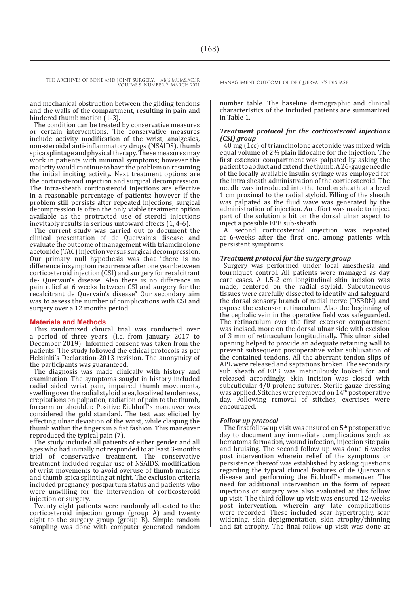and mechanical obstruction between the gliding tendons and the walls of the compartment, resulting in pain and hindered thumb motion (1-3).

The condition can be treated by conservative measures or certain interventions. The conservative measures include activity modification of the wrist, analgesics, non-steroidal anti-inflammatory drugs (NSAIDS), thumb spica splintage and physical therapy. These measures may work in patients with minimal symptoms; however the majority would continue to have the problem on resuming the initial inciting activity. Next treatment options are the corticosteroid injection and surgical decompression. The intra-sheath corticosteroid injections are effective in a reasonable percentage of patients; however if the problem still persists after repeated injections, surgical decompression is often the only viable treatment option available as the protracted use of steroid injections inevitably results in serious untoward effects (1, 4-6).

The current study was carried out to document the clinical presentation of de Quervain's disease and evaluate the outcome of management with triamcinolone acetonide (TAC) injection versus surgical decompression. Our primary null hypothesis was that "there is no difference in symptom recurrence after one year between corticosteroid injection (CSI) and surgery for recalcitrant de- Quervain's disease. Also there is no difference in pain relief at 6 weeks between CSI and surgery for the recalcitrant de Quervain's disease" Our secondary aim was to assess the number of complications with CSI and surgery over a 12 months period.

#### **Materials and Methods**

This randomized clinical trial was conducted over a period of three years. (i.e. from January 2017 to December 2019) Informed consent was taken from the patients. The study followed the ethical protocols as per Helsinki's Declaration-2013 revision. The anonymity of the participants was guaranteed.

The diagnosis was made clinically with history and examination. The symptoms sought in history included radial sided wrist pain, impaired thumb movements, swelling over the radial styloid area, localized tenderness, crepitations on palpation, radiation of pain to the thumb, forearm or shoulder. Positive Eichhoff's maneuver was considered the gold standard. The test was elicited by effecting ulnar deviation of the wrist, while clasping the thumb within the fingers in a fist fashion. This maneuver reproduced the typical pain (7).

The study included all patients of either gender and all ages who had initially not responded to at least 3-months trial of conservative treatment. The conservative treatment included regular use of NSAIDS, modification of wrist movements to avoid overuse of thumb muscles and thumb spica splinting at night. The exclusion criteria included pregnancy, postpartum status and patients who were unwilling for the intervention of corticosteroid injection or surgery.

Twenty eight patients were randomly allocated to the corticosteroid injection group (group A) and twenty eight to the surgery group (group B). Simple random sampling was done with computer generated random

number table. The baseline demographic and clinical characteristics of the included patients are summarized in Table 1.

#### *Treatment protocol for the corticosteroid injections (CSI) group*

40 mg (1cc) of triamcinolone acetonide was mixed with equal volume of 2% plain lidocaine for the injection. The first extensor compartment was palpated by asking the patient to abduct and extend the thumb. A 26-gauge needle of the locally available insulin syringe was employed for the intra sheath administration of the corticosteroid. The needle was introduced into the tendon sheath at a level 1 cm proximal to the radial styloid. Filling of the sheath was palpated as the fluid wave was generated by the administration of injection. An effort was made to inject part of the solution a bit on the dorsal ulnar aspect to inject a possible EPB sub-sheath.

A second corticosteroid injection was repeated at 6-weeks after the first one, among patients with persistent symptoms.

#### *Treatment protocol for the surgery group*

Surgery was performed under local anesthesia and tourniquet control. All patients were managed as day care cases. A 1.5-2 cm longitudinal skin incision was made, centered on the radial styloid. Subcutaneous tissues were carefully dissected to identify and safeguard the dorsal sensory branch of radial nerve (DSBRN) and expose the extensor retinaculum. Also the beginning of the cephalic vein in the operative field was safeguarded. The retinaculum over the first extensor compartment was incised, more on the dorsal ulnar side with excision of 3 mm of retinaculum longitudinally. This ulnar sided opening helped to provide an adequate retaining wall to prevent subsequent postoperative volar subluxation of the contained tendons. All the aberrant tendon slips of APL were released and septations broken. The secondary sub sheath of EPB was meticulously looked for and released accordingly. Skin incision was closed with subcuticular 4/0 prolene sutures. Sterile gauze dressing was applied. Stitches were removed on 14<sup>th</sup> postoperative day. Following removal of stitches, exercises were encouraged.

#### *Follow up protocol*

The first follow up visit was ensured on  $5<sup>th</sup>$  postoperative day to document any immediate complications such as hematoma formation, wound infection, injection site pain and bruising. The second follow up was done 6-weeks post intervention wherein relief of the symptoms or persistence thereof was established by asking questions regarding the typical clinical features of de Quervain's disease and performing the Eichhoff's maneuver. The need for additional intervention in the form of repeat injections or surgery was also evaluated at this follow up visit. The third follow up visit was ensured 12-weeks post intervention, wherein any late complications were recorded. These included scar hypertrophy, scar widening, skin depigmentation, skin atrophy/thinning and fat atrophy. The final follow up visit was done at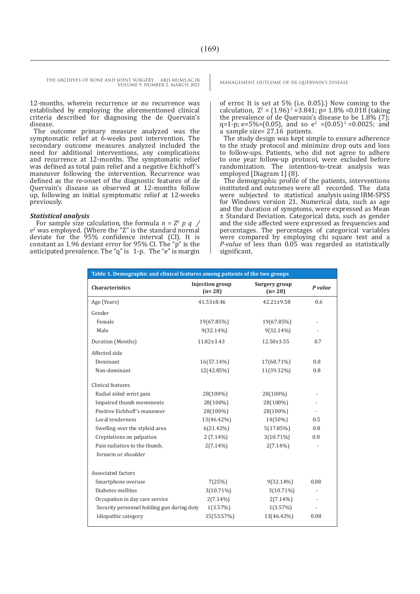12-months, wherein recurrence or no recurrence was established by employing the aforementioned clinical criteria described for diagnosing the de Quervain's disease.

The outcome primary measure analyzed was the symptomatic relief at 6-weeks post intervention. The secondary outcome measures analyzed included the need for additional interventions, any complications and recurrence at 12-months. The symptomatic relief was defined as total pain relief and a negative Eichhoff's maneuver following the intervention. Recurrence was defined as the re-onset of the diagnostic features of de Quervain's disease as observed at 12-months follow up, following an initial symptomatic relief at 12-weeks previously.

#### *Statistical analysis*

 For sample size calculation, the formula *n = Z2 p q / e2* was employed. {Where the "Z" is the standard normal deviate for the 95% confidence interval (CI). It is constant as 1.96 deviant error for 95% CI. The "p" is the anticipated prevalence. The "q" is 1-p. The "e" is margin

of error. It is set at  $5\%$  (i.e. 0.05).} Now coming to the calculation,  $Z^2 = (1.96)^2 = 3.841$ ; p= 1.8% = 0.018 (taking the prevalence of de Quervain's disease to be  $1.8\%$  (7); q=1-p; e=5%=(0.05), and so  $e^2 = (0.05)^2 = 0.0025$ ; and a sample size= 27.16 patients.

The study design was kept simple to ensure adherence to the study protocol and minimize drop outs and loss to follow-ups. Patients, who did not agree to adhere to one year follow-up protocol, were excluded before randomization. The intention-to-treat analysis was employed [Diagram 1] (8).

The demographic profile of the patients, interventions instituted and outcomes were all recorded. The data were subjected to statistical analysis using IBM-SPSS for Windows version 21. Numerical data, such as age and the duration of symptoms, were expressed as Mean ± Standard Deviation. Categorical data, such as gender and the side affected were expressed as frequencies and percentages. The percentages of categorical variables were compared by employing chi square test and a *P-value* of less than 0.05 was regarded as statistically significant.

| Table 1. Demographic and clinical features among patients of the two groups |                                    |                                  |               |  |
|-----------------------------------------------------------------------------|------------------------------------|----------------------------------|---------------|--|
| <b>Characteristics</b>                                                      | <b>Injection</b> group<br>$(n=28)$ | <b>Surgery group</b><br>$(n=28)$ | P value       |  |
| Age (Years)                                                                 | $41.53 \pm 8.46$                   | 42.21±9.58                       | 0.6           |  |
| Gender                                                                      |                                    |                                  |               |  |
| Female                                                                      | 19(67.85%)                         | 19(67.85%)                       | $\frac{1}{2}$ |  |
| Male                                                                        | $9(32.14\%)$                       | $9(32.14\%)$                     |               |  |
| Duration (Months)                                                           | $11.82 \pm 3.43$                   | $12.50 \pm 3.55$                 | 0.7           |  |
| Affected side                                                               |                                    |                                  |               |  |
| Dominant                                                                    | $16(57.14\%)$                      | 17(60.71%)                       | 0.8           |  |
| Non-dominant                                                                | 12(42.85%)                         | 11(39.32%)                       | 0.8           |  |
| Clinical features                                                           |                                    |                                  |               |  |
| Radial sided wrist pain                                                     | 28(100%)                           | 28(100%)                         |               |  |
| Impaired thumb movements                                                    | 28(100%)                           | 28(100%)                         |               |  |
| Positive Eichhoff's maneuver                                                | 28(100%)                           | 28(100%)                         |               |  |
| Local tenderness                                                            | 13(46.42%)                         | $14(50\%)$                       | 0.5           |  |
| Swelling over the styloid area                                              | $6(21.42\%)$                       | 5(17.85%)                        | 0.8           |  |
| Crepitations on palpation                                                   | $2(7.14\%)$                        | $3(10.71\%)$                     | 0.8           |  |
| Pain radiation to the thumb,                                                | $2(7.14\%)$                        | $2(7.14\%)$                      |               |  |
| forearm or shoulder                                                         |                                    |                                  |               |  |
| Associated factors                                                          |                                    |                                  |               |  |
| Smartphone overuse                                                          | 7(25%)                             | $9(32.14\%)$                     | 0.08          |  |
| Diabetes mellitus                                                           | $3(10.71\%)$                       | $3(10.71\%)$                     |               |  |
| Occupation in day care service                                              | $2(7.14\%)$                        | $2(7.14\%)$                      |               |  |
| Security personnel holding gun during duty                                  | $1(3.57\%)$                        | $1(3.57\%)$                      |               |  |
| Idiopathic category                                                         | 15(53.57%)                         | 13(46.42%)                       | 0.08          |  |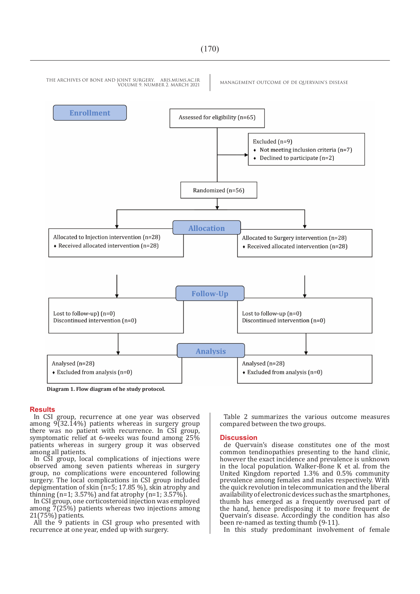

**Diagram 1. Flow diagram of he study protocol.**

#### **Results**

In CSI group, recurrence at one year was observed among 9(32.14%) patients whereas in surgery group there was no patient with recurrence. In CSI group, symptomatic relief at 6-weeks was found among 25% patients whereas in surgery group it was observed among all patients.

In CSI group, local complications of injections were observed among seven patients whereas in surgery group, no complications were encountered following surgery. The local complications in CSI group included depigmentation of skin (n=5; 17.85 %), skin atrophy and thinning (n=1; 3.57%) and fat atrophy (n=1; 3.57%).

In CSI group, one corticosteroid injection was employed among 7(25%) patients whereas two injections among 21(75%) patients.

All the 9 patients in CSI group who presented with recurrence at one year, ended up with surgery.

Table 2 summarizes the various outcome measures compared between the two groups.

#### **Discussion**

de Quervain's disease constitutes one of the most common tendinopathies presenting to the hand clinic, however the exact incidence and prevalence is unknown in the local population. Walker-Bone K et al. from the United Kingdom reported 1.3% and 0.5% community prevalence among females and males respectively. With the quick revolution in telecommunication and the liberal availability of electronic devices such as the smartphones, thumb has emerged as a frequently overused part of the hand, hence predisposing it to more frequent de Quervain's disease. Accordingly the condition has also been re-named as texting thumb (9-11).

In this study predominant involvement of female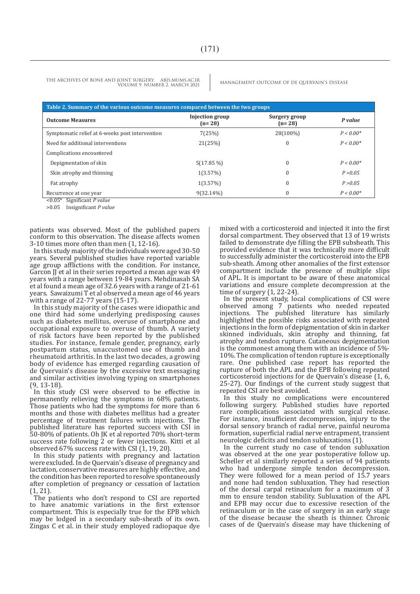| Table 2. Summary of the various outcome measures compared between the two groups |                                    |                           |             |  |
|----------------------------------------------------------------------------------|------------------------------------|---------------------------|-------------|--|
| <b>Outcome Measures</b>                                                          | <b>Injection</b> group<br>$(n=28)$ | Surgery group<br>$(n=28)$ | P value     |  |
| Symptomatic relief at 6-weeks post intervention                                  | 7(25%)                             | 28(100%)                  | $P < 0.00*$ |  |
| Need for additional interventions                                                | 21(25%)                            | $\Omega$                  | $P < 0.00*$ |  |
| Complications encountered                                                        |                                    |                           |             |  |
| Depigmentation of skin                                                           | $5(17.85\%)$                       | $\theta$                  | $P < 0.00*$ |  |
| Skin atrophy and thinning                                                        | 1(3.57%)                           | $\theta$                  | P > 0.05    |  |
| Fat atrophy                                                                      | 1(3.57%)                           | $\theta$                  | P > 0.05    |  |
| Recurrence at one year                                                           | $9(32.14\%)$                       | $\theta$                  | $P < 0.00*$ |  |

<0.05\* Significant *P value* >0.05 Insignificant *P value*

patients was observed. Most of the published papers

conform to this observation. The disease affects women 3-10 times more often than men (1, 12-16).

In this study majority of the individuals were aged 30-50 years. Several published studies have reported variable age group afflictions with the condition. For instance, Garcon JJ et al in their series reported a mean age was 49 years with a range between 19-84 years. Mehdinasab SA et al found a mean age of 32.6 years with a range of 21-61 years. Sawaizumi T et al observed a mean age of 46 years with a range of 22-77 years (15-17).

In this study majority of the cases were idiopathic and one third had some underlying predisposing causes such as diabetes mellitus, overuse of smartphone and occupational exposure to overuse of thumb. A variety of risk factors have been reported by the published studies. For instance, female gender, pregnancy, early postpartum status, unaccustomed use of thumb and rheumatoid arthritis. In the last two decades, a growing body of evidence has emerged regarding causation of de Quervain's disease by the excessive text messaging and similar activities involving typing on smartphones (9, 13-18).

In this study CSI were observed to be effective in permanently relieving the symptoms in 68% patients. Those patients who had the symptoms for more than 6 months and those with diabetes mellitus had a greater percentage of treatment failures with injections. The published literature has reported success with CSI in 50-80% of patients. Oh JK et al reported 70% short-term success rate following 2 or fewer injections. Kitti et al observed 67% success rate with CSI (1, 19, 20).

In this study patients with pregnancy and lactation were excluded. In de Quervain's disease of pregnancy and lactation, conservative measures are highly effective, and the condition has been reported to resolve spontaneously after completion of pregnancy or cessation of lactation (1, 21).

The patients who don't respond to CSI are reported to have anatomic variations in the first extensor compartment. This is especially true for the EPB which may be lodged in a secondary sub-sheath of its own. Zingas C et al. in their study employed radiopaque dye

mixed with a corticosteroid and injected it into the first dorsal compartment. They observed that 13 of 19 wrists failed to demonstrate dye filling the EPB subsheath. This provided evidence that it was technically more difficult to successfully administer the corticosteroid into the EPB sub-sheath. Among other anomalies of the first extensor compartment include the presence of multiple slips of APL. It is important to be aware of these anatomical variations and ensure complete decompression at the time of surgery (1, 22-24).

In the present study, local complications of CSI were observed among 7 patients who needed repeated injections. The published literature has similarly highlighted the possible risks associated with repeated injections in the form of depigmentation of skin in darker skinned individuals, skin atrophy and thinning, fat atrophy and tendon rupture. Cutaneous depigmentation is the commonest among them with an incidence of 5%- 10%. The complication of tendon rupture is exceptionally rare. One published case report has reported the rupture of both the APL and the EPB following repeated corticosteroid injections for de Quervain's disease (1, 6, 25-27). Our findings of the current study suggest that repeated CSI are best avoided.

In this study no complications were encountered following surgery. Published studies have reported rare complications associated with surgical release. For instance, insufficient decompression, injury to the dorsal sensory branch of radial nerve, painful neuroma formation, superficial radial nerve entrapment, transient neurologic deficits and tendon subluxations (1).

In the current study no case of tendon subluxation was observed at the one year postoperative follow up. Scheller et al similarly reported a series of 94 patients who had undergone simple tendon decompression. They were followed for a mean period of 15.7 years and none had tendon subluxation. They had resection of the dorsal carpal retinaculum for a maximum of 3 mm to ensure tendon stability. Subluxation of the APL and EPB may occur due to excessive resection of the retinaculum or in the case of surgery in an early stage of the disease because the sheath is thinner. Chronic cases of de Quervain's disease may have thickening of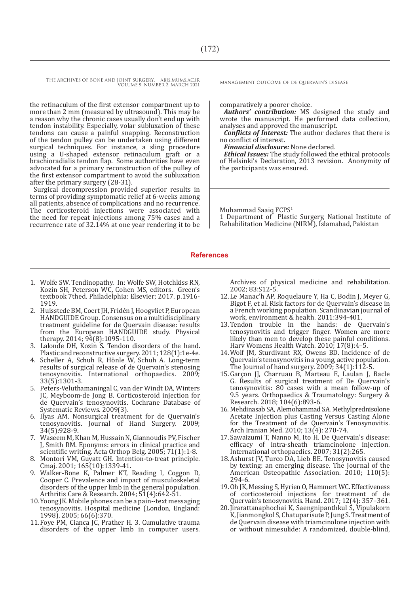the retinaculum of the first extensor compartment up to more than 2 mm (measured by ultrasound). This may be a reason why the chronic cases usually don't end up with tendon instability. Especially, volar subluxation of these tendons can cause a painful snapping. Reconstruction of the tendon pulley can be undertaken using different surgical techniques. For instance, a sling procedure using a U-shaped extensor retinaculum graft or a brachioradialis tendon flap. Some authorities have even advocated for a primary reconstruction of the pulley of the first extensor compartment to avoid the subluxation after the primary surgery (28-31).

Surgical decompression provided superior results in terms of providing symptomatic relief at 6-weeks among all patients, absence of complications and no recurrence. The corticosteroid injections were associated with the need for repeat injections among 75% cases and a recurrence rate of 32.14% at one year rendering it to be

comparatively a poorer choice.

*Authors' contribution:* MS designed the study and wrote the manuscript. He performed data collection, analyses and approved the manuscript.

*Conflicts of Interest:* The author declares that there is no conflict of interest.

*Financial disclosure:* None declared.

*Ethical Issues:* The study followed the ethical protocols of Helsinki's Declaration, 2013 revision. Anonymity of the participants was ensured.

Muhammad Saaiq FCPS<sup>1</sup>

1 Department of Plastic Surgery, National Institute of Rehabilitation Medicine (NIRM), Islamabad, Pakistan

#### **References**

- 1. Wolfe SW. Tendinopathy. In: Wolfe SW, Hotchkiss RN, Kozin SH, Peterson WC, Cohen MS, editors. Green's textbook 7thed. Philadelphia: Elsevier; 2017. p.1916- 1919.
- 2. Huisstede BM, Coert JH, Fridén J, Hoogvliet P, European HANDGUIDE Group. Consensus on a multidisciplinary treatment guideline for de Quervain disease: results from the European HANDGUIDE study. Physical therapy. 2014; 94(8):1095-110.
- 3. Lalonde DH, Kozin S. Tendon disorders of the hand. Plastic and reconstructive surgery. 2011; 128(1):1e-4e.
- 4. Scheller A, Schuh R, Hönle W, Schuh A. Long-term results of surgical release of de Quervain's stenosing tenosynovitis. International orthopaedics. 2009; 33(5):1301-3.
- 5. Peters-Veluthamaningal C, van der Windt DA, Winters JC, Meyboom-de Jong B. Corticosteroid injection for de Quervain's tenosynovitis. Cochrane Database of Systematic Reviews. 2009(3).
- 6. Ilyas AM. Nonsurgical treatment for de Quervain's tenosynovitis. Journal of Hand Surgery. 2009; 34(5):928-9.
- 7. Waseem M, Khan M, Hussain N, Giannoudis PV, Fischer J, Smith RM. Eponyms: errors in clinical practice and scientific writing. Acta Orthop Belg. 2005; 71(1):1-8.
- 8. Montori VM, Guyatt GH. Intention-to-treat principle. Cmaj. 2001; 165(10):1339-41.
- 9. Walker-Bone K, Palmer KT, Reading I, Coggon D, Cooper C. Prevalence and impact of musculoskeletal disorders of the upper limb in the general population. Arthritis Care & Research. 2004; 51(4):642-51.
- 10.Yoong JK. Mobile phones can be a pain--text messaging tenosynovitis. Hospital medicine (London, England: 1998). 2005; 66(6):370.
- 11.Foye PM, Cianca JC, Prather H. 3. Cumulative trauma disorders of the upper limb in computer users.

Archives of physical medicine and rehabilitation. 2002; 83:S12-5.

- 12.Le Manac'h AP, Roquelaure Y, Ha C, Bodin J, Meyer G, Bigot F, et al. Risk factors for de Quervain's disease in a French working population. Scandinavian journal of work, environment & health. 2011:394-401.
- 13.Tendon trouble in the hands: de Quervain's tenosynovitis and trigger finger. Women are more likely than men to develop these painful conditions. Harv Womens Health Watch. 2010; 17(8):4–5.
- 14.Wolf JM, Sturdivant RX, Owens BD. Incidence of de Quervain's tenosynovitis in a young, active population. The Journal of hand surgery.  $2009$ ;  $34(1)$ : $112-5$ .
- 15.Garçon JJ, Charruau B, Marteau E, Laulan J, Bacle G. Results of surgical treatment of De Quervain's tenosynovitis: 80 cases with a mean follow-up of 9.5 years. Orthopaedics & Traumatology: Surgery & Research. 2018; 104(6):893-6.
- 16. Mehdinasab SA, Alemohammad SA. Methylprednisolone Acetate Injection plus Casting Versus Casting Alone for the Treatment of de Quervain's Tenosynovitis. Arch Iranian Med. 2010; 13(4): 270-74.
- 17.Sawaizumi T, Nanno M, Ito H. De Quervain's disease: efficacy of intra-sheath triamcinolone injection. International orthopaedics. 2007; 31(2):265.
- 18.Ashurst JV, Turco DA, Lieb BE. Tenosynovitis caused by texting: an emerging disease. The Journal of the American Osteopathic Association. 2010; 110(5): 294-6.
- 19.Oh JK, Messing S, Hyrien O, Hammert WC. Effectiveness of corticosteroid injections for treatment of de Quervain's tenosynovitis. Hand. 2017; 12(4): 357–361.
- 20.Jirarattanaphochai K, Saengnipanthkul S, Vipulakorn K, Jianmongkol S, Chatuparisute P, Jung S. Treatment of de Quervain disease with triamcinolone injection with or without nimesulide: A randomized, double-blind,